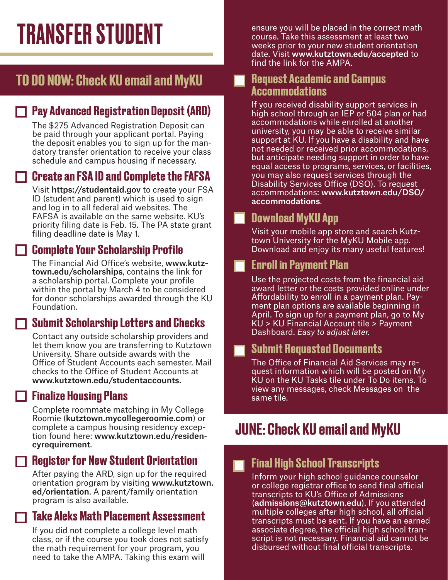## TO DO NOW: Check KU email and MyKU

#### $\Box$  Pay Advanced Registration Deposit (ARD)

The \$275 Advanced Registration Deposit can be paid through your applicant portal. Paying the deposit enables you to sign up for the mandatory transfer orientation to receive your class schedule and campus housing if necessary.

#### Create an FSA ID and Complete the FAFSA

 Visit https://studentaid.gov to create your FSA ID (student and parent) which is used to sign and log in to all federal aid websites. The FAFSA is available on the same website. KU's priority filing date is Feb. 15. The PA state grant filing deadline date is May 1.

#### $\Box$  Complete Your Scholarship Profile

The Financial Aid Office's website, www.kutztown.edu/scholarships, contains the link for a scholarship portal. Complete your profile within the portal by March 4 to be considered for donor scholarships awarded through the KU Foundation.

#### $\Box$  Submit Scholarship Letters and Checks

 Contact any outside scholarship providers and let them know you are transferring to Kutztown University. Share outside awards with the Office of Student Accounts each semester. Mail checks to the Office of Student Accounts at www.kutztown.edu/studentaccounts.

#### $\Box$  Finalize Housing Plans

Complete roommate matching in My College Roomie (kutztown.mycollegeroomie.com) or complete a campus housing residency exception found here: www.kutztown.edu/residencyrequirement.

#### $\Box$  Register for New Student Orientation

 After paying the ARD, sign up for the required orientation program by visiting www.kutztown. ed/orientation. A parent/family orientation program is also available.

#### Take Aleks Math Placement Assessment

If you did not complete a college level math class, or if the course you took does not satisfy the math requirement for your program, you need to take the AMPA. Taking this exam will

TRANSFER STUDENT ensure you will be placed in the correct math<br>course. Take this assessment at least two course. Take this assessment at least two weeks prior to your new student orientation date. Visit www.kutztown.edu/accepted to find the link for the AMPA.

#### Request Academic and Campus П Accommodations

 If you received disability support services in high school through an IEP or 504 plan or had accommodations while enrolled at another university, you may be able to receive similar support at KU. If you have a disability and have not needed or received prior accommodations, but anticipate needing support in order to have equal access to programs, services, or facilities, you may also request services through the Disability Services Office (DSO). To request accommodations: www.kutztown.edu/DSO/ accommodations.

#### **Download MyKU App**

 Visit your mobile app store and search Kutztown University for the MyKU Mobile app. Download and enjoy its many useful features!

#### Enroll in Payment Plan

Use the projected costs from the financial aid award letter or the costs provided online under Affordability to enroll in a payment plan. Payment plan options are available beginning in April. To sign up for a payment plan, go to My KU > KU Financial Account tile > Payment Dashboard. *Easy to adjust later.*

#### **The Submit Requested Documents**

 The Office of Financial Aid Services may request information which will be posted on My KU on the KU Tasks tile under To Do items. To view any messages, check Messages on the same tile.

# JUNE: Check KU email and MyKU

#### Final High School Transcripts

Inform your high school guidance counselor or college registrar office to send final official transcripts to KU's Office of Admissions (admissions@kutztown.edu). If you attended multiple colleges after high school, all official transcripts must be sent. If you have an earned associate degree, the official high school transcript is not necessary. Financial aid cannot be disbursed without final official transcripts.